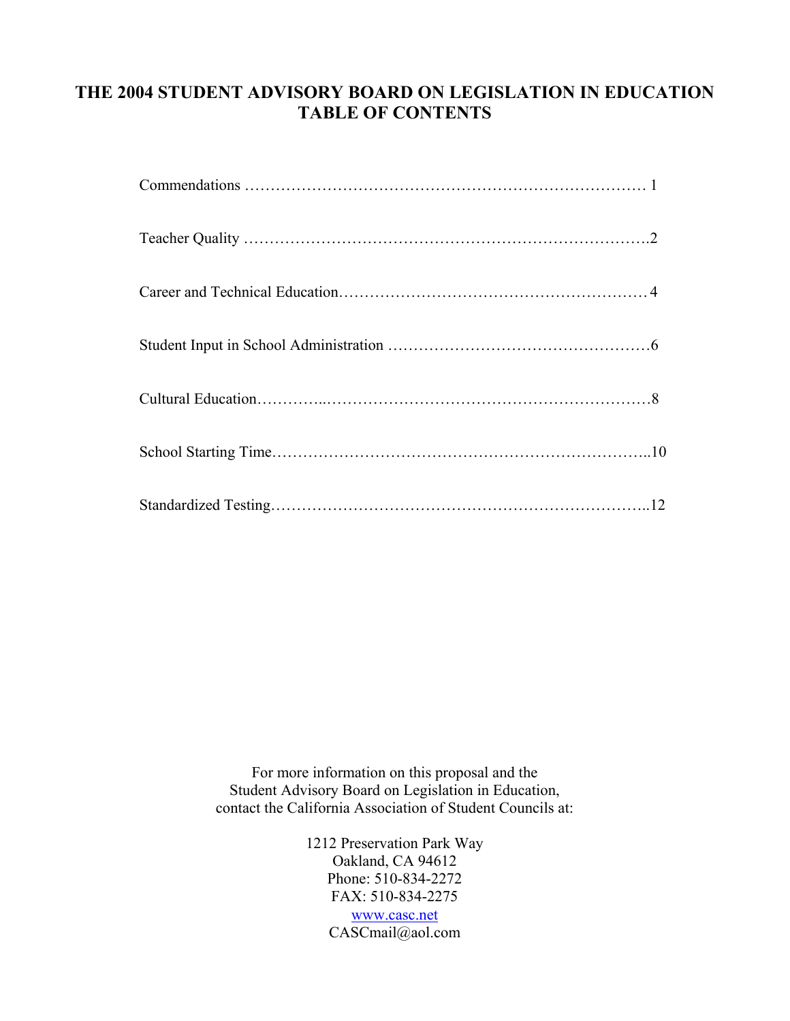# **THE 2004 STUDENT ADVISORY BOARD ON LEGISLATION IN EDUCATION TABLE OF CONTENTS**

For more information on this proposal and the Student Advisory Board on Legislation in Education, contact the California Association of Student Councils at:

> 1212 Preservation Park Way Oakland, CA 94612 Phone: 510-834-2272 FAX: 510-834-2275 [www.casc.net](http://www.casc.net/) CASCmail@aol.com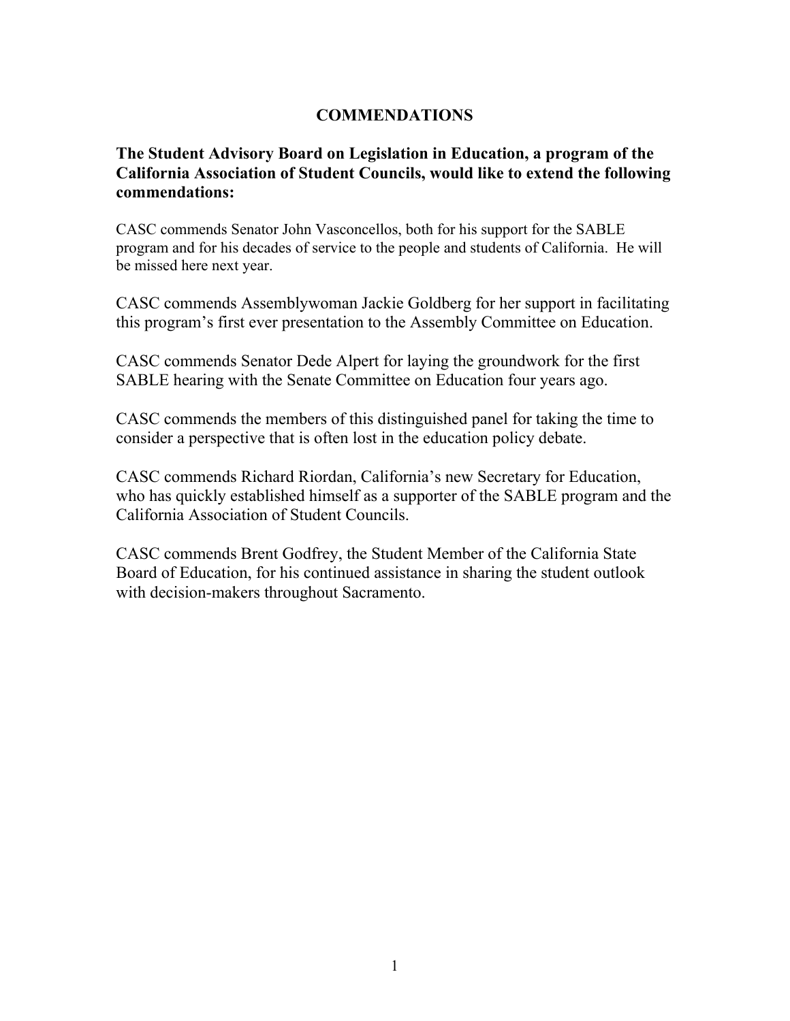# **COMMENDATIONS**

# **The Student Advisory Board on Legislation in Education, a program of the California Association of Student Councils, would like to extend the following commendations:**

CASC commends Senator John Vasconcellos, both for his support for the SABLE program and for his decades of service to the people and students of California. He will be missed here next year.

CASC commends Assemblywoman Jackie Goldberg for her support in facilitating this program's first ever presentation to the Assembly Committee on Education.

CASC commends Senator Dede Alpert for laying the groundwork for the first SABLE hearing with the Senate Committee on Education four years ago.

CASC commends the members of this distinguished panel for taking the time to consider a perspective that is often lost in the education policy debate.

CASC commends Richard Riordan, California's new Secretary for Education, who has quickly established himself as a supporter of the SABLE program and the California Association of Student Councils.

CASC commends Brent Godfrey, the Student Member of the California State Board of Education, for his continued assistance in sharing the student outlook with decision-makers throughout Sacramento.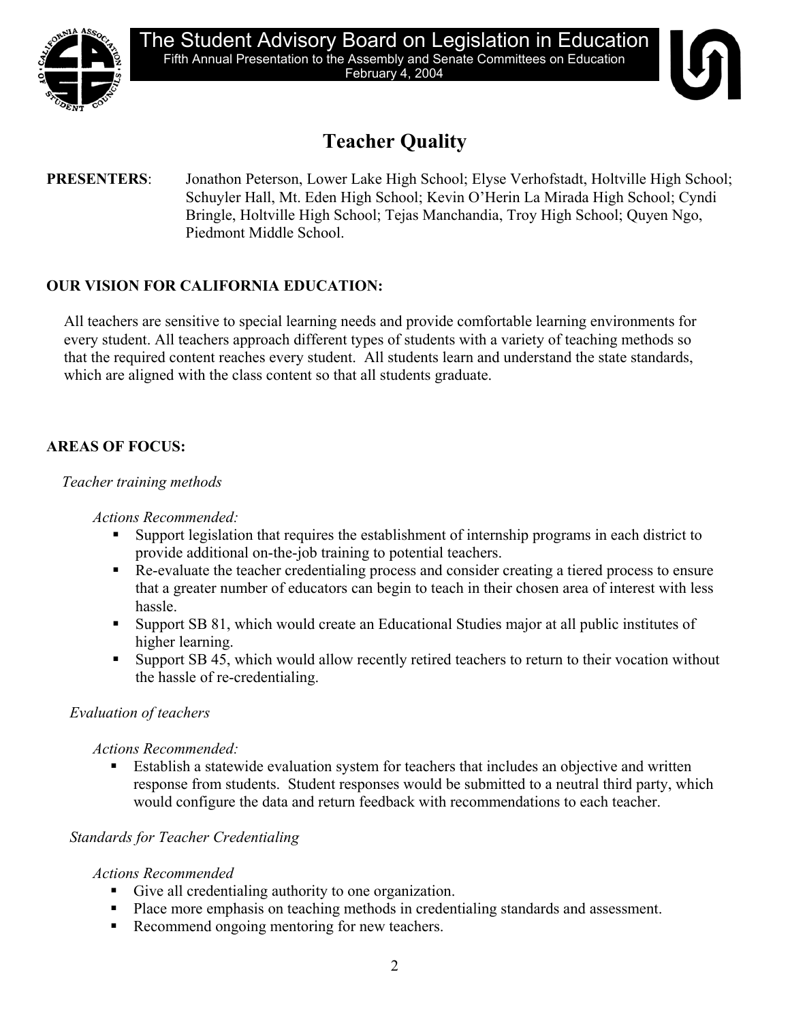

# **Teacher Quality**

# **PRESENTERS**: Jonathon Peterson, Lower Lake High School; Elyse Verhofstadt, Holtville High School; Schuyler Hall, Mt. Eden High School; Kevin O'Herin La Mirada High School; Cyndi Bringle, Holtville High School; Tejas Manchandia, Troy High School; Quyen Ngo, Piedmont Middle School.

# **OUR VISION FOR CALIFORNIA EDUCATION:**

All teachers are sensitive to special learning needs and provide comfortable learning environments for every student. All teachers approach different types of students with a variety of teaching methods so that the required content reaches every student. All students learn and understand the state standards, which are aligned with the class content so that all students graduate.

# **AREAS OF FOCUS:**

### *Teacher training methods*

### *Actions Recommended:*

- Support legislation that requires the establishment of internship programs in each district to provide additional on-the-job training to potential teachers.
- Re-evaluate the teacher credentialing process and consider creating a tiered process to ensure that a greater number of educators can begin to teach in their chosen area of interest with less hassle.
- Support SB 81, which would create an Educational Studies major at all public institutes of higher learning.
- Support SB 45, which would allow recently retired teachers to return to their vocation without the hassle of re-credentialing.

# *Evaluation of teachers*

### *Actions Recommended:*

 Establish a statewide evaluation system for teachers that includes an objective and written response from students. Student responses would be submitted to a neutral third party, which would configure the data and return feedback with recommendations to each teacher.

# *Standards for Teacher Credentialing*

# *Actions Recommended*

- Give all credentialing authority to one organization.
- Place more emphasis on teaching methods in credentialing standards and assessment.
- Recommend ongoing mentoring for new teachers.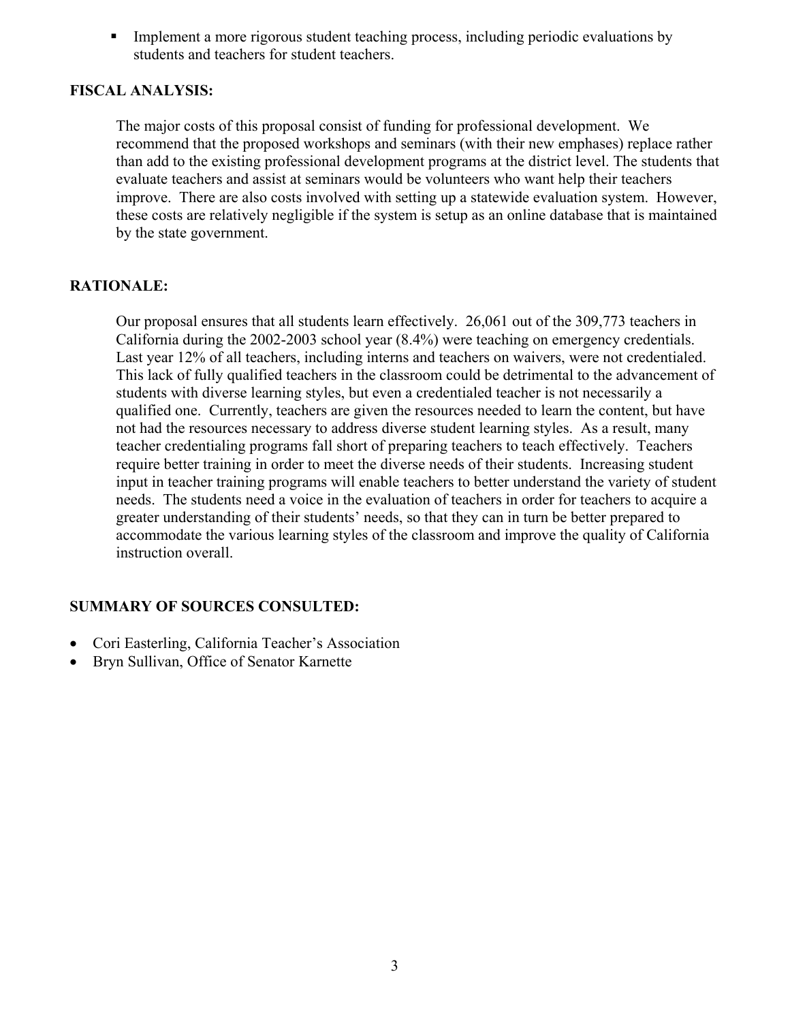Implement a more rigorous student teaching process, including periodic evaluations by students and teachers for student teachers.

### **FISCAL ANALYSIS:**

The major costs of this proposal consist of funding for professional development. We recommend that the proposed workshops and seminars (with their new emphases) replace rather than add to the existing professional development programs at the district level. The students that evaluate teachers and assist at seminars would be volunteers who want help their teachers improve. There are also costs involved with setting up a statewide evaluation system. However, these costs are relatively negligible if the system is setup as an online database that is maintained by the state government.

### **RATIONALE:**

Our proposal ensures that all students learn effectively. 26,061 out of the 309,773 teachers in California during the 2002-2003 school year (8.4%) were teaching on emergency credentials. Last year 12% of all teachers, including interns and teachers on waivers, were not credentialed. This lack of fully qualified teachers in the classroom could be detrimental to the advancement of students with diverse learning styles, but even a credentialed teacher is not necessarily a qualified one. Currently, teachers are given the resources needed to learn the content, but have not had the resources necessary to address diverse student learning styles. As a result, many teacher credentialing programs fall short of preparing teachers to teach effectively. Teachers require better training in order to meet the diverse needs of their students. Increasing student input in teacher training programs will enable teachers to better understand the variety of student needs. The students need a voice in the evaluation of teachers in order for teachers to acquire a greater understanding of their students' needs, so that they can in turn be better prepared to accommodate the various learning styles of the classroom and improve the quality of California instruction overall.

- Cori Easterling, California Teacher's Association
- Bryn Sullivan, Office of Senator Karnette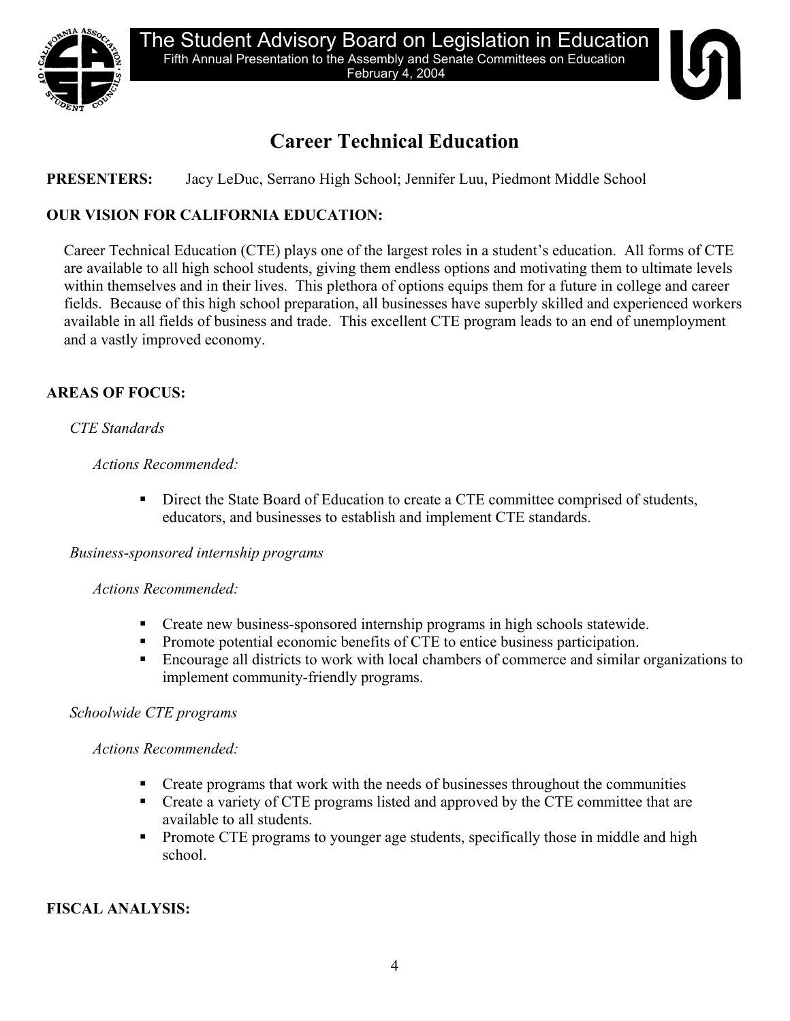

# **Career Technical Education**

# **PRESENTERS:** Jacy LeDuc, Serrano High School; Jennifer Luu, Piedmont Middle School

# **OUR VISION FOR CALIFORNIA EDUCATION:**

Career Technical Education (CTE) plays one of the largest roles in a student's education. All forms of CTE are available to all high school students, giving them endless options and motivating them to ultimate levels within themselves and in their lives. This plethora of options equips them for a future in college and career fields. Because of this high school preparation, all businesses have superbly skilled and experienced workers available in all fields of business and trade. This excellent CTE program leads to an end of unemployment and a vastly improved economy.

# **AREAS OF FOCUS:**

# *CTE Standards*

# *Actions Recommended:*

Direct the State Board of Education to create a CTE committee comprised of students, educators, and businesses to establish and implement CTE standards.

# *Business-sponsored internship programs*

# *Actions Recommended:*

- Create new business-sponsored internship programs in high schools statewide.
- Promote potential economic benefits of CTE to entice business participation.
- Encourage all districts to work with local chambers of commerce and similar organizations to implement community-friendly programs.

# *Schoolwide CTE programs*

# *Actions Recommended:*

- **•** Create programs that work with the needs of businesses throughout the communities
- Create a variety of CTE programs listed and approved by the CTE committee that are available to all students.
- **Promote CTE programs to younger age students, specifically those in middle and high** school.

# **FISCAL ANALYSIS:**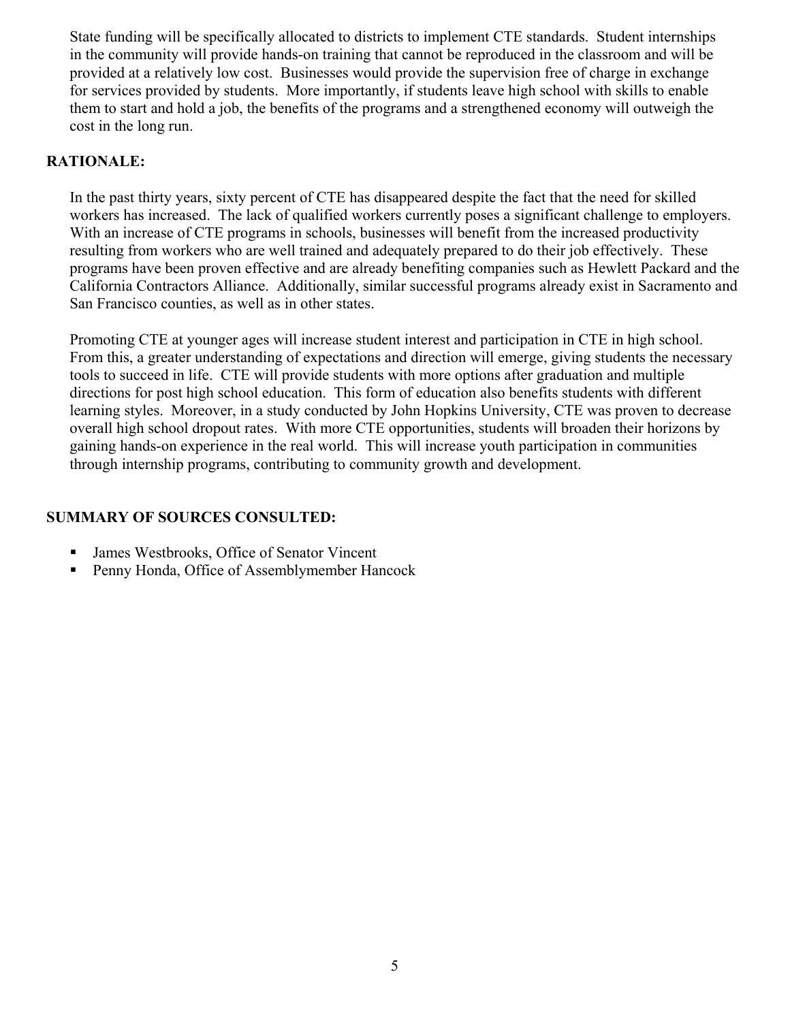State funding will be specifically allocated to districts to implement CTE standards. Student internships in the community will provide hands-on training that cannot be reproduced in the classroom and will be provided at a relatively low cost. Businesses would provide the supervision free of charge in exchange for services provided by students. More importantly, if students leave high school with skills to enable them to start and hold a job, the benefits of the programs and a strengthened economy will outweigh the cost in the long run.

### **RATIONALE:**

In the past thirty years, sixty percent of CTE has disappeared despite the fact that the need for skilled workers has increased. The lack of qualified workers currently poses a significant challenge to employers. With an increase of CTE programs in schools, businesses will benefit from the increased productivity resulting from workers who are well trained and adequately prepared to do their job effectively. These programs have been proven effective and are already benefiting companies such as Hewlett Packard and the California Contractors Alliance. Additionally, similar successful programs already exist in Sacramento and San Francisco counties, as well as in other states.

Promoting CTE at younger ages will increase student interest and participation in CTE in high school. From this, a greater understanding of expectations and direction will emerge, giving students the necessary tools to succeed in life. CTE will provide students with more options after graduation and multiple directions for post high school education. This form of education also benefits students with different learning styles. Moreover, in a study conducted by John Hopkins University, CTE was proven to decrease overall high school dropout rates. With more CTE opportunities, students will broaden their horizons by gaining hands-on experience in the real world. This will increase youth participation in communities through internship programs, contributing to community growth and development.

- James Westbrooks, Office of Senator Vincent
- Penny Honda, Office of Assemblymember Hancock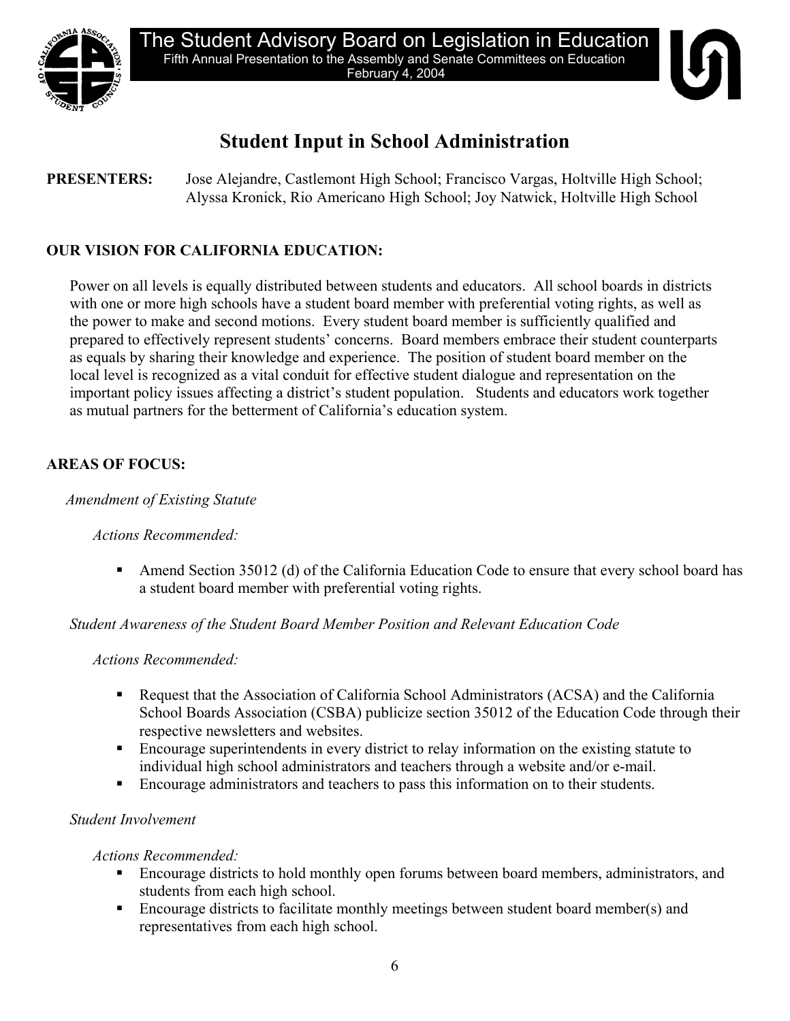



# **Student Input in School Administration**

**PRESENTERS:** Jose Alejandre, Castlemont High School; Francisco Vargas, Holtville High School; Alyssa Kronick, Rio Americano High School; Joy Natwick, Holtville High School

# **OUR VISION FOR CALIFORNIA EDUCATION:**

Power on all levels is equally distributed between students and educators. All school boards in districts with one or more high schools have a student board member with preferential voting rights, as well as the power to make and second motions. Every student board member is sufficiently qualified and prepared to effectively represent students' concerns. Board members embrace their student counterparts as equals by sharing their knowledge and experience. The position of student board member on the local level is recognized as a vital conduit for effective student dialogue and representation on the important policy issues affecting a district's student population. Students and educators work together as mutual partners for the betterment of California's education system.

# **AREAS OF FOCUS:**

# *Amendment of Existing Statute*

# *Actions Recommended:*

 Amend Section 35012 (d) of the California Education Code to ensure that every school board has a student board member with preferential voting rights.

# *Student Awareness of the Student Board Member Position and Relevant Education Code*

# *Actions Recommended:*

- Request that the Association of California School Administrators (ACSA) and the California School Boards Association (CSBA) publicize section 35012 of the Education Code through their respective newsletters and websites.
- Encourage superintendents in every district to relay information on the existing statute to individual high school administrators and teachers through a website and/or e-mail.
- Encourage administrators and teachers to pass this information on to their students.

# *Student Involvement*

*Actions Recommended:* 

- Encourage districts to hold monthly open forums between board members, administrators, and students from each high school.
- **Encourage districts to facilitate monthly meetings between student board member(s) and** representatives from each high school.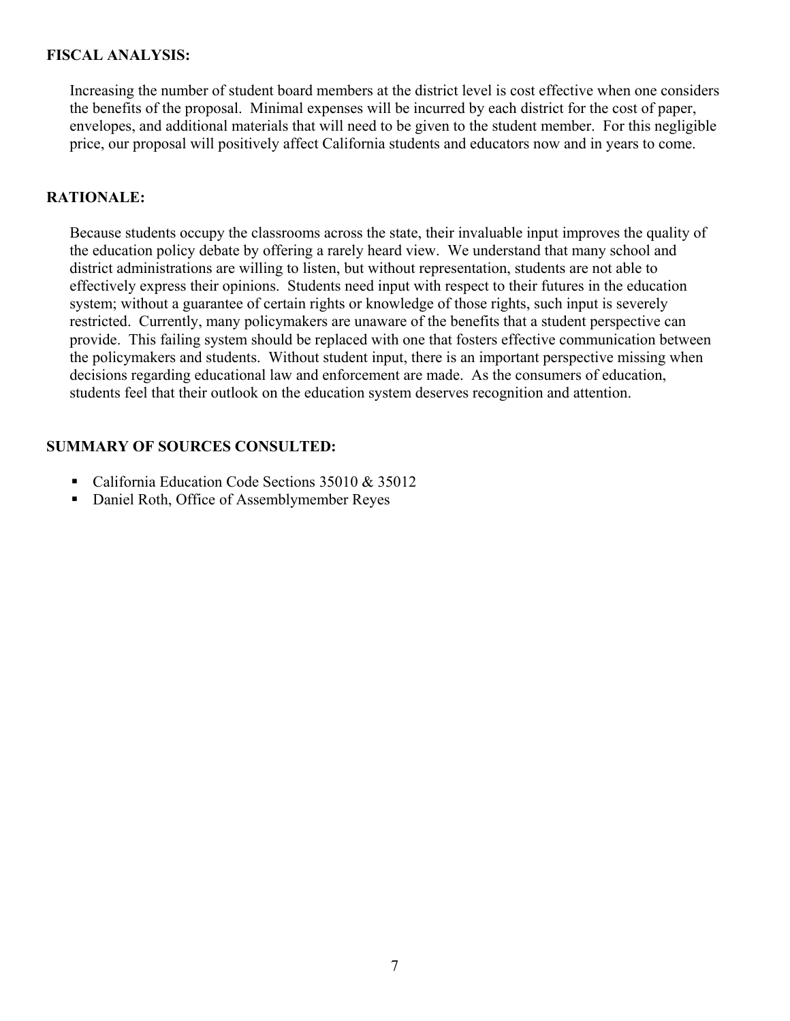### **FISCAL ANALYSIS:**

Increasing the number of student board members at the district level is cost effective when one considers the benefits of the proposal. Minimal expenses will be incurred by each district for the cost of paper, envelopes, and additional materials that will need to be given to the student member. For this negligible price, our proposal will positively affect California students and educators now and in years to come.

### **RATIONALE:**

Because students occupy the classrooms across the state, their invaluable input improves the quality of the education policy debate by offering a rarely heard view. We understand that many school and district administrations are willing to listen, but without representation, students are not able to effectively express their opinions. Students need input with respect to their futures in the education system; without a guarantee of certain rights or knowledge of those rights, such input is severely restricted. Currently, many policymakers are unaware of the benefits that a student perspective can provide. This failing system should be replaced with one that fosters effective communication between the policymakers and students. Without student input, there is an important perspective missing when decisions regarding educational law and enforcement are made. As the consumers of education, students feel that their outlook on the education system deserves recognition and attention.

- California Education Code Sections 35010 & 35012
- Daniel Roth, Office of Assemblymember Reyes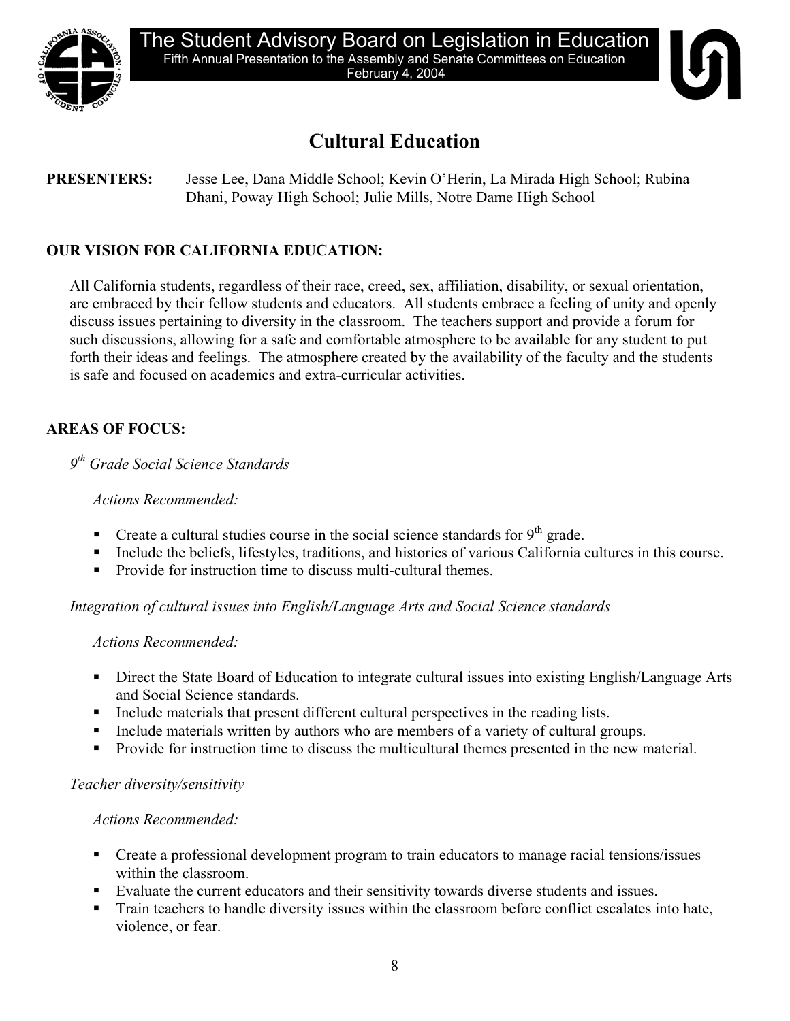

# **Cultural Education**

# **PRESENTERS:** Jesse Lee, Dana Middle School; Kevin O'Herin, La Mirada High School; Rubina Dhani, Poway High School; Julie Mills, Notre Dame High School

# **OUR VISION FOR CALIFORNIA EDUCATION:**

All California students, regardless of their race, creed, sex, affiliation, disability, or sexual orientation, are embraced by their fellow students and educators. All students embrace a feeling of unity and openly discuss issues pertaining to diversity in the classroom. The teachers support and provide a forum for such discussions, allowing for a safe and comfortable atmosphere to be available for any student to put forth their ideas and feelings. The atmosphere created by the availability of the faculty and the students is safe and focused on academics and extra-curricular activities.

# **AREAS OF FOCUS:**

*9th Grade Social Science Standards* 

# *Actions Recommended:*

- **Create a cultural studies course in the social science standards for**  $9<sup>th</sup>$  **grade.**
- Include the beliefs, lifestyles, traditions, and histories of various California cultures in this course.
- Provide for instruction time to discuss multi-cultural themes.

*Integration of cultural issues into English/Language Arts and Social Science standards* 

# *Actions Recommended:*

- Direct the State Board of Education to integrate cultural issues into existing English/Language Arts and Social Science standards.
- Include materials that present different cultural perspectives in the reading lists.
- Include materials written by authors who are members of a variety of cultural groups.
- Provide for instruction time to discuss the multicultural themes presented in the new material.

# *Teacher diversity/sensitivity*

# *Actions Recommended:*

- Create a professional development program to train educators to manage racial tensions/issues within the classroom.
- Evaluate the current educators and their sensitivity towards diverse students and issues.
- Train teachers to handle diversity issues within the classroom before conflict escalates into hate, violence, or fear.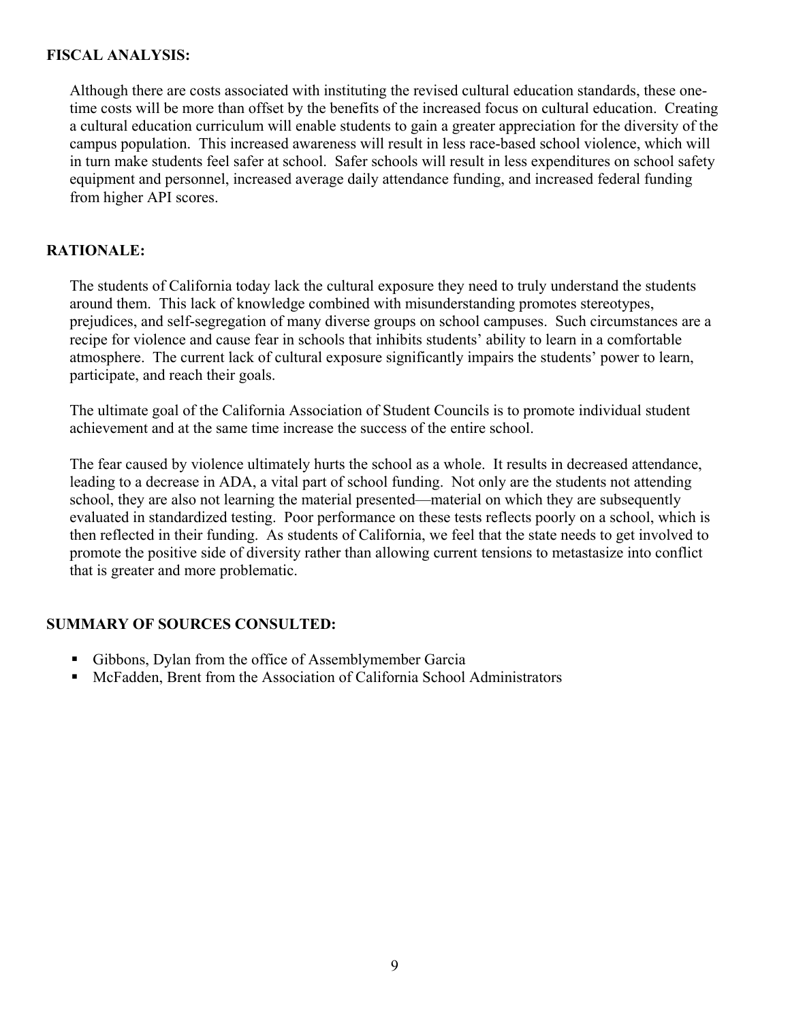### **FISCAL ANALYSIS:**

Although there are costs associated with instituting the revised cultural education standards, these onetime costs will be more than offset by the benefits of the increased focus on cultural education. Creating a cultural education curriculum will enable students to gain a greater appreciation for the diversity of the campus population. This increased awareness will result in less race-based school violence, which will in turn make students feel safer at school. Safer schools will result in less expenditures on school safety equipment and personnel, increased average daily attendance funding, and increased federal funding from higher API scores.

# **RATIONALE:**

The students of California today lack the cultural exposure they need to truly understand the students around them. This lack of knowledge combined with misunderstanding promotes stereotypes, prejudices, and self-segregation of many diverse groups on school campuses. Such circumstances are a recipe for violence and cause fear in schools that inhibits students' ability to learn in a comfortable atmosphere. The current lack of cultural exposure significantly impairs the students' power to learn, participate, and reach their goals.

The ultimate goal of the California Association of Student Councils is to promote individual student achievement and at the same time increase the success of the entire school.

The fear caused by violence ultimately hurts the school as a whole. It results in decreased attendance, leading to a decrease in ADA, a vital part of school funding. Not only are the students not attending school, they are also not learning the material presented—material on which they are subsequently evaluated in standardized testing. Poor performance on these tests reflects poorly on a school, which is then reflected in their funding. As students of California, we feel that the state needs to get involved to promote the positive side of diversity rather than allowing current tensions to metastasize into conflict that is greater and more problematic.

- Gibbons, Dylan from the office of Assemblymember Garcia
- McFadden, Brent from the Association of California School Administrators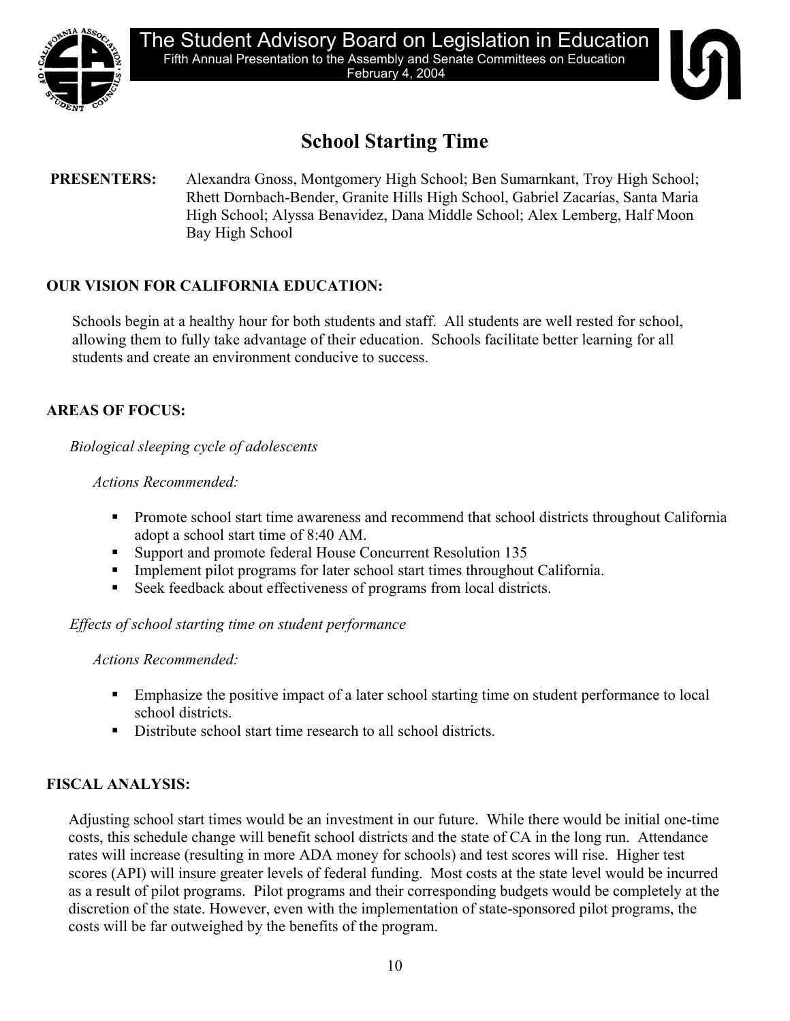

# **School Starting Time**

# **PRESENTERS:** Alexandra Gnoss, Montgomery High School; Ben Sumarnkant, Troy High School; Rhett Dornbach-Bender, Granite Hills High School, Gabriel Zacarías, Santa Maria High School; Alyssa Benavidez, Dana Middle School; Alex Lemberg, Half Moon Bay High School

# **OUR VISION FOR CALIFORNIA EDUCATION:**

Schools begin at a healthy hour for both students and staff. All students are well rested for school, allowing them to fully take advantage of their education. Schools facilitate better learning for all students and create an environment conducive to success.

# **AREAS OF FOCUS:**

*Biological sleeping cycle of adolescents* 

# *Actions Recommended:*

- **Promote school start time awareness and recommend that school districts throughout California** adopt a school start time of 8:40 AM.
- Support and promote federal House Concurrent Resolution 135
- Implement pilot programs for later school start times throughout California.
- Seek feedback about effectiveness of programs from local districts.

# *Effects of school starting time on student performance*

*Actions Recommended:* 

- Emphasize the positive impact of a later school starting time on student performance to local school districts.
- Distribute school start time research to all school districts.

# **FISCAL ANALYSIS:**

Adjusting school start times would be an investment in our future. While there would be initial one-time costs, this schedule change will benefit school districts and the state of CA in the long run. Attendance rates will increase (resulting in more ADA money for schools) and test scores will rise. Higher test scores (API) will insure greater levels of federal funding. Most costs at the state level would be incurred as a result of pilot programs. Pilot programs and their corresponding budgets would be completely at the discretion of the state. However, even with the implementation of state-sponsored pilot programs, the costs will be far outweighed by the benefits of the program.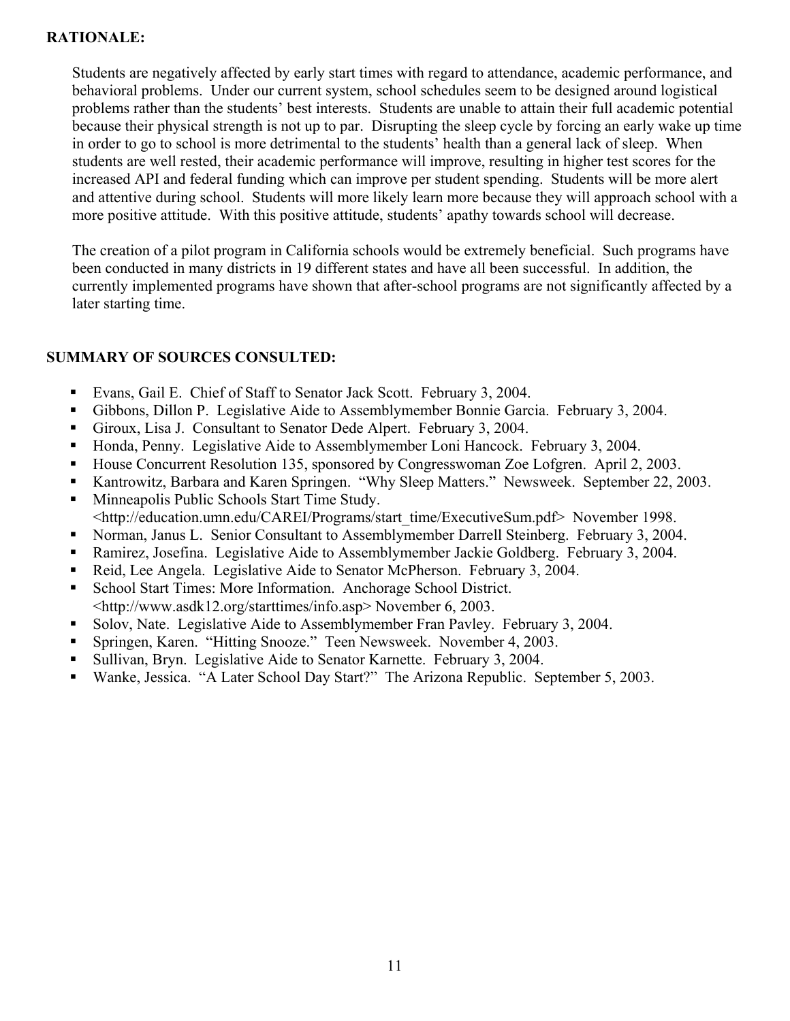# **RATIONALE:**

Students are negatively affected by early start times with regard to attendance, academic performance, and behavioral problems. Under our current system, school schedules seem to be designed around logistical problems rather than the students' best interests. Students are unable to attain their full academic potential because their physical strength is not up to par. Disrupting the sleep cycle by forcing an early wake up time in order to go to school is more detrimental to the students' health than a general lack of sleep. When students are well rested, their academic performance will improve, resulting in higher test scores for the increased API and federal funding which can improve per student spending. Students will be more alert and attentive during school. Students will more likely learn more because they will approach school with a more positive attitude. With this positive attitude, students' apathy towards school will decrease.

The creation of a pilot program in California schools would be extremely beneficial. Such programs have been conducted in many districts in 19 different states and have all been successful. In addition, the currently implemented programs have shown that after-school programs are not significantly affected by a later starting time.

- Evans, Gail E. Chief of Staff to Senator Jack Scott. February 3, 2004.
- Gibbons, Dillon P. Legislative Aide to Assemblymember Bonnie Garcia. February 3, 2004.
- Giroux, Lisa J. Consultant to Senator Dede Alpert. February 3, 2004.
- Honda, Penny. Legislative Aide to Assemblymember Loni Hancock. February 3, 2004.
- House Concurrent Resolution 135, sponsored by Congresswoman Zoe Lofgren. April 2, 2003.
- Kantrowitz, Barbara and Karen Springen. "Why Sleep Matters." Newsweek. September 22, 2003.
- **Minneapolis Public Schools Start Time Study.** <http://education.umn.edu/CAREI/Programs/start\_time/ExecutiveSum.pdf> November 1998.
- Norman, Janus L. Senior Consultant to Assemblymember Darrell Steinberg. February 3, 2004.
- Ramirez, Josefina. Legislative Aide to Assemblymember Jackie Goldberg. February 3, 2004.
- Reid, Lee Angela. Legislative Aide to Senator McPherson. February 3, 2004.
- School Start Times: More Information. Anchorage School District. <http://www.asdk12.org/starttimes/info.asp> November 6, 2003.
- Solov, Nate. Legislative Aide to Assemblymember Fran Pavley. February 3, 2004.
- Springen, Karen. "Hitting Snooze." Teen Newsweek. November 4, 2003.
- Sullivan, Bryn. Legislative Aide to Senator Karnette. February 3, 2004.
- Wanke, Jessica. "A Later School Day Start?" The Arizona Republic. September 5, 2003.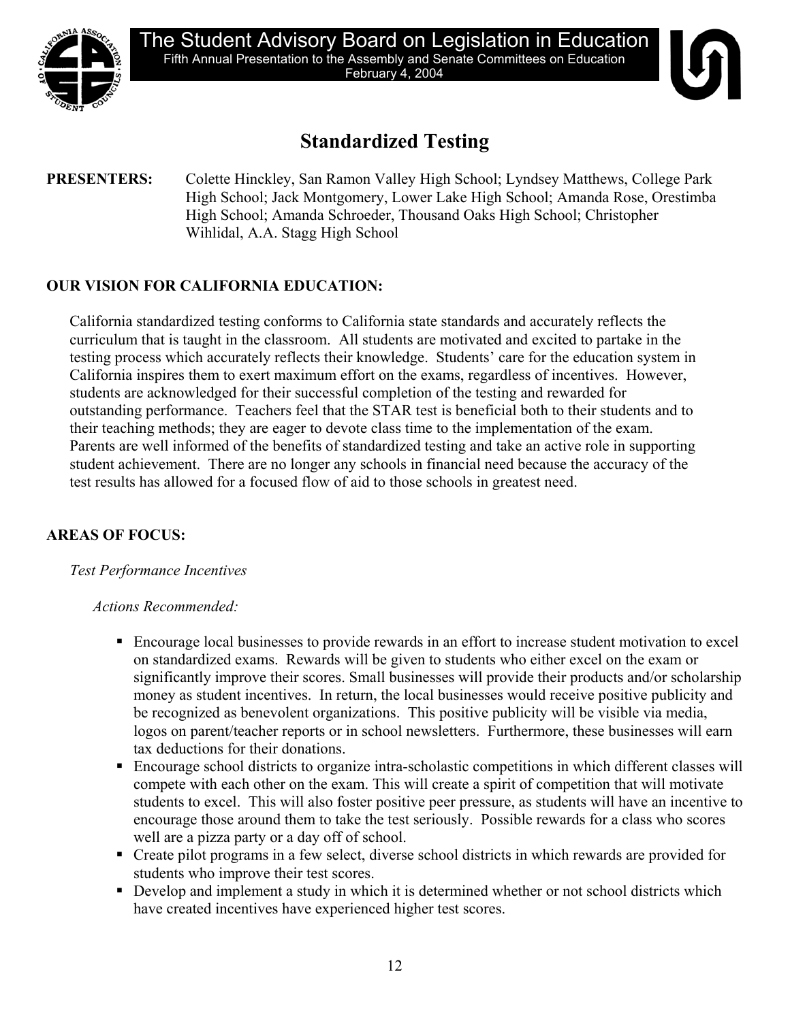

# **Standardized Testing**

### **PRESENTERS:** Colette Hinckley, San Ramon Valley High School; Lyndsey Matthews, College Park High School; Jack Montgomery, Lower Lake High School; Amanda Rose, Orestimba High School; Amanda Schroeder, Thousand Oaks High School; Christopher Wihlidal, A.A. Stagg High School

# **OUR VISION FOR CALIFORNIA EDUCATION:**

California standardized testing conforms to California state standards and accurately reflects the curriculum that is taught in the classroom. All students are motivated and excited to partake in the testing process which accurately reflects their knowledge. Students' care for the education system in California inspires them to exert maximum effort on the exams, regardless of incentives. However, students are acknowledged for their successful completion of the testing and rewarded for outstanding performance. Teachers feel that the STAR test is beneficial both to their students and to their teaching methods; they are eager to devote class time to the implementation of the exam. Parents are well informed of the benefits of standardized testing and take an active role in supporting student achievement. There are no longer any schools in financial need because the accuracy of the test results has allowed for a focused flow of aid to those schools in greatest need.

# **AREAS OF FOCUS:**

# *Test Performance Incentives*

### *Actions Recommended:*

- Encourage local businesses to provide rewards in an effort to increase student motivation to excel on standardized exams. Rewards will be given to students who either excel on the exam or significantly improve their scores. Small businesses will provide their products and/or scholarship money as student incentives. In return, the local businesses would receive positive publicity and be recognized as benevolent organizations. This positive publicity will be visible via media, logos on parent/teacher reports or in school newsletters. Furthermore, these businesses will earn tax deductions for their donations.
- Encourage school districts to organize intra-scholastic competitions in which different classes will compete with each other on the exam. This will create a spirit of competition that will motivate students to excel. This will also foster positive peer pressure, as students will have an incentive to encourage those around them to take the test seriously. Possible rewards for a class who scores well are a pizza party or a day off of school.
- Create pilot programs in a few select, diverse school districts in which rewards are provided for students who improve their test scores.
- Develop and implement a study in which it is determined whether or not school districts which have created incentives have experienced higher test scores.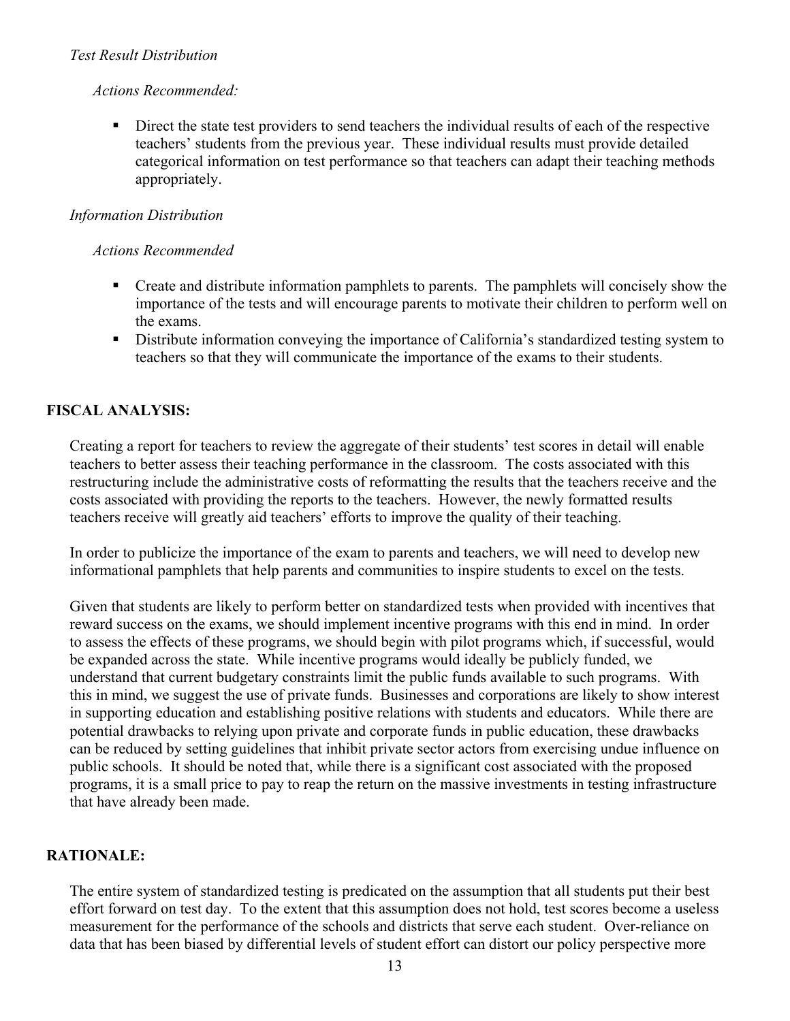### *Test Result Distribution*

### *Actions Recommended:*

 Direct the state test providers to send teachers the individual results of each of the respective teachers' students from the previous year. These individual results must provide detailed categorical information on test performance so that teachers can adapt their teaching methods appropriately.

# *Information Distribution*

# *Actions Recommended*

- Create and distribute information pamphlets to parents. The pamphlets will concisely show the importance of the tests and will encourage parents to motivate their children to perform well on the exams.
- Distribute information conveying the importance of California's standardized testing system to teachers so that they will communicate the importance of the exams to their students.

# **FISCAL ANALYSIS:**

Creating a report for teachers to review the aggregate of their students' test scores in detail will enable teachers to better assess their teaching performance in the classroom. The costs associated with this restructuring include the administrative costs of reformatting the results that the teachers receive and the costs associated with providing the reports to the teachers. However, the newly formatted results teachers receive will greatly aid teachers' efforts to improve the quality of their teaching.

In order to publicize the importance of the exam to parents and teachers, we will need to develop new informational pamphlets that help parents and communities to inspire students to excel on the tests.

Given that students are likely to perform better on standardized tests when provided with incentives that reward success on the exams, we should implement incentive programs with this end in mind. In order to assess the effects of these programs, we should begin with pilot programs which, if successful, would be expanded across the state. While incentive programs would ideally be publicly funded, we understand that current budgetary constraints limit the public funds available to such programs. With this in mind, we suggest the use of private funds. Businesses and corporations are likely to show interest in supporting education and establishing positive relations with students and educators. While there are potential drawbacks to relying upon private and corporate funds in public education, these drawbacks can be reduced by setting guidelines that inhibit private sector actors from exercising undue influence on public schools. It should be noted that, while there is a significant cost associated with the proposed programs, it is a small price to pay to reap the return on the massive investments in testing infrastructure that have already been made.

# **RATIONALE:**

The entire system of standardized testing is predicated on the assumption that all students put their best effort forward on test day. To the extent that this assumption does not hold, test scores become a useless measurement for the performance of the schools and districts that serve each student. Over-reliance on data that has been biased by differential levels of student effort can distort our policy perspective more